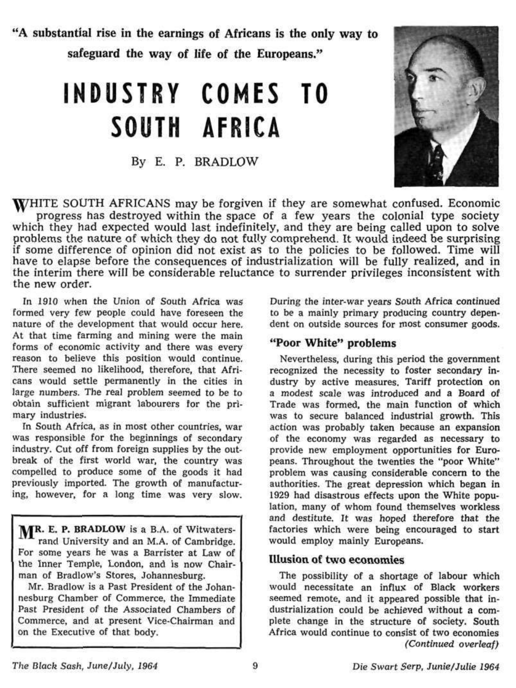"A substantial rise in the earnings of Africans is the only way to safeguard the way of life of the Europeans."

# **INDUSTRY COMES TO SOUTH AFRICA**

By E. P. BRADLOW



WHITE SOUTH AFRICANS may be forgiven if they are somewhat confused. Economic progress has destroyed within the space of a few years the colonial type society which they had expected would last indefinitely, and they are being called upon to solve problems the nature of which they do not fully comprehend. It would indeed be surprising if some difference of opinion did not exist as to the policies to be followed. Time will have to elapse before the consequences of industrialization will be fully realized, and in the interim there will be considerable reluctance to surrender privileges inconsistent with the new order.

In 1910 when the Union of South Africa was formed very few people could have foreseen the nature of the development that would occur here. At that time farming and mining were the main forms of economic activity and there was every reason to believe this position would continue. There seemed no likelihood, therefore, that Africans would settle permanently in the cities in large numbers. The real problem seemed *to* be to obtain sufficient migrant labourers for the primary industries.

In South Africa, as in most other countries, war was responsible for the beginnings of secondary industry. Cut off from foreign supplies by the outbreak of the first world war, the country was compelled to produce some of the goods it had previously imported. The growth of manufacturing, however, for a long time was very slow.

MR. E. P. BRADLOW is a B.A. of Witwatersrand University and an M.A. of Cambridge. For some years he was a Barrister at Law of the Inner Temple, London, and is now Chairman of Bradlow's Stores, Johannesburg.

Mr. Bradlow is a Past President of the Johannesburg Chamber of Commerce, the Immediate Past President of the Associated Chambers of Commerce, and at present Vice-Chairman and on the Executive of that body.

During the inter-war years South Africa continued to be a mainly primary producing country dependent on outside sources for most consumer goods.

## **"Poor White" problems**

Nevertheless, during this period the government recognized the necessity to foster secondary industry by active measures. Tariff protection on a modest scale was introduced and a Board of Trade was formed, the main function of which was to secure balanced industrial growth. This action was probably taken because an expansion of the economy was regarded as necessary to provide new employment opportunities for Europeans. Throughout the twenties the "poor White" problem was causing considerable concern to the authorities. The great depression which began in 1929 had disastrous effects upon the White population, many of whom found themselves workless ation, many of whom found themselves workless and destitute. It was hoped therefore that the factories which were being encouraged to start would employ mainly Europeans.

#### **Illusion of two economies**

The possibility of a shortage of labour which would necessitate an influx of Black workers seemed remote, and it appeared possible that industrialization could be achieved without a complete change in the structure of society. South Africa would continue to consist of two economies *(Continued overleaf)*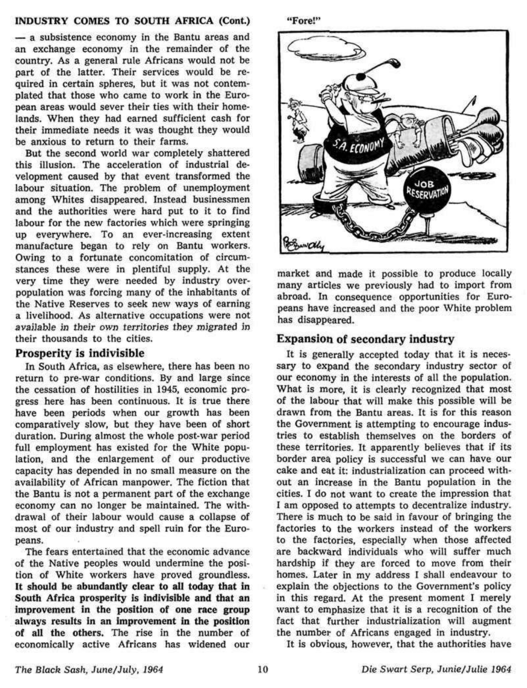#### **INDUSTRY COMES TO SOUTH AFRICA** (Cont.)

— a subsistence economy in the Bantu areas and an exchange economy in the remainder of the country. As a general rule Africans would not be part of the latter. Their services would be required in certain spheres, but it was not contemplated that those who came to work in the European areas would sever their ties with their homelands. When they had earned sufficient cash for their immediate needs it was thought they would be anxious to return to their farms.

But the second world war completely shattered this illusion. The acceleration of industrial development caused by that event transformed the labour situation. The problem of unemployment among Whites disappeared. Instead businessmen and the authorities were hard put to it to find labour for the new factories which were springing up everywhere. To an ever-increasing extent manufacture began to rely on Bantu workers. Owing to a fortunate concomitation of circumstances these were in plentiful supply. At the very time they were needed by industry overpopulation was forcing many of the inhabitants of the Native Reserves to seek new ways of earning a livelihood. As alternative occupations were not available in their own territories they migrated in their thousands to the cities.

#### **Prosperity is indivisible**

In South Africa, as elsewhere, there has been no return to pre-war conditions. By and large since the cessation of hostilities in 1945, economic progress here has been continuous. It is true there have been periods when our growth has been comparatively slow, but they have been of short duration. During almost the whole post-war period full employment has existed for the White population, and the enlargement of our productive capacity has depended in no small measure on the availability of African manpower. The fiction that the Bantu is not a permanent part of the exchange economy can no longer be maintained. The withdrawal of their labour would cause a collapse of most of our industry and spell ruin for the Europeans.

The fears entertained that the economic advance of the Native peoples would undermine the position of White workers have proved groundless. It should be abundantly clear to **all today that in**  South Africa prosperity is indivisible **and that an**  improvement **in the** position **of** one race **group**  always **results in** an **improvement in the position of all the others.** The rise in the number of economically active Africans has widened our





market and made it possible to produce locally many articles we previously had to import from abroad. In consequence opportunities for Europeans have increased and the poor White problem has disappeared.

## **Expansion of secondary industry**

It is generally accepted today that it is necessary to expand the secondary industry sector of our economy in the interests of all the population. What is more, it is clearly recognized that most of the labour that will make this possible will be drawn from the Bantu areas. It is for this reason the Government is attempting to encourage industries to establish themselves **on** the borders of these territories. It apparently believes that if its border area policy is successful we can have our cake and eat it: industrialization can proceed without an increase in the Bantu population in the cities. I do not want to create the impression that I am opposed to attempts to decentralize industry. I am opposed to attempts to decentralize mudstry. factories to the workers instead of the workers ractories to the workers instead of the workers to the factories, especially when those affected are backward individuals who will suffer much hardship if they are forced to move from their homes. Later in my address I shall endeavour to explain the objections to the Government's policy in this regard. At the present moment I merely want to emphasize that it is a recognition of the fact that further industrialization will augment<br>the number of Africans engaged in industry.

**It** is obvious, however, that the authorities have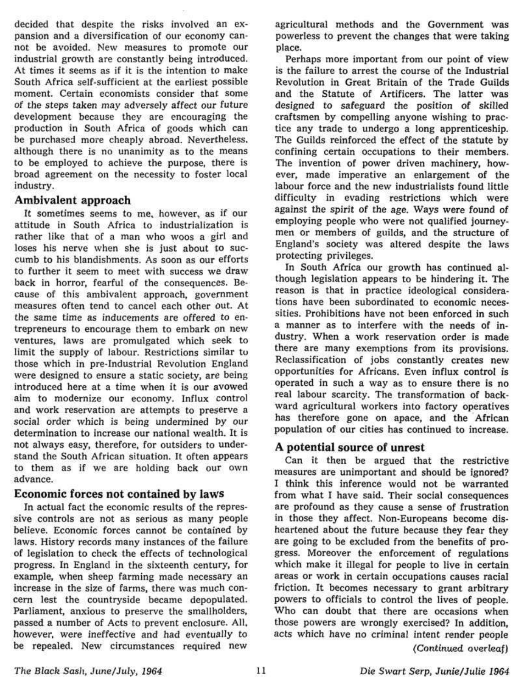decided that despite the risks involved an expansion and a diversification of our economy cannot be avoided. New measures to promote our industrial growth are constantly being introduced. At times it seems as if it is the intention to make South Africa self-sufficient at the earliest possible moment. Certain economists consider that some of the steps taken may adversely affect our future development because they are encouraging the production in South Africa of goods which can be purchased more cheaply abroad. Nevertheless, although there is no unanimity as to the means to be employed to achieve the purpose, there is broad agreement on the necessity to foster local industry.

#### **Ambivalent approach**

It sometimes seems to me, however, as if our attitude in South Africa to industrialization is rather like that of a man who woos a girl and loses his nerve when she is just about to succumb to his blandishments. As soon as our efforts to further it seem to meet with success we draw back in horror, fearful of the consequences. Because of this ambivalent approach, government measures often tend to cancel each other out. At the same time as inducements are offered to entrepreneurs to encourage them to embark on new ventures, laws are promulgated which seek to ventures, laws are promulgated which seek to those which in pre-Industrial Revolution England those which in pre-Industrial Revolution England were designed to ensure a static society, are being introduced here at a time when it is our avowed aim to modernize our economy. Influx control and work reservation are attempts to preserve a social order which is being undermined by our determination to increase our national wealth. It is not always easy, therefore, for outsiders to understand the South African situation. It often appears to them as if we are holding back our own advance.

## **Economic forces not contained by laws**

In actual fact the economic results of the repressive controls are not as serious as many people believe. Economic forces cannot be contained by laws. History records many instances of the failure of legislation to check the effects of technological progress. In England in the sixteenth century, for example, when sheep farming made necessary an increase in the size of farms, there was much concern lest the countryside became depopulated. Parliament, anxious to preserve the smallholders, passed a number of Acts to prevent enclosure. All. however, were ineffective and had eventually to be repealed. New circumstances required new

agricultural methods and the Government was powerless to prevent the changes that were taking place.

Perhaps more important from our point of view is the failure to arrest the course of the Industrial Revolution in Great Britain of the Trade Guilds and the Statute of Artificers. The latter was designed to safeguard the position of skilled craftsmen by compelling anyone wishing to practice any trade to undergo a long apprenticeship. The Guilds reinforced the effect of the statute by confining certain occupations to their members. The invention of power driven machinery, however, made imperative an enlargement of the labour force and the new industrialists found little difficulty in evading restrictions which were anticutty in evacuing restrictions which were egainst the spirit of the age, ways were found of employing people who were not qualified journeymen or members of guilds, and the structure of England's society was altered despite the laws<br>protecting privileges.

In South Africa our growth has continued although legislation appears to be hindering it. The reason is that in practice ideological considerations have been subordinated to economic necessities. Prohibitions have not been enforced in such a manner as to interfere with the needs of industry. When a work reservation order is made there are many exemptions from its provisions. Reclassification of jobs constantly creates new opportunities for Africans. Even influx control is operated in such a way as to ensure there is no real labour scarcity. The transformation of backrear labour startity. The transformation of backward agricultural workers into ractory operatives has therefore gone on apace, and the African population of our cities has continued to increase.

## **A potential source of unrest**

Can it then be argued that the restrictive measures are unimportant and should be ignored? I think this inference would not be warranted from what I have said. Their social consequences are profound as they cause a sense of frustration in those they affect. Non-Europeans become disheartened about the future because they fear they are going to be excluded from the benefits of progress. Moreover the enforcement of regulations which make it illegal for people to live in certain areas or work in certain occupations causes racial friction. It becomes necessary to grant arbitrary priction, it becomes necessary to grant arbitrary powers to officials to control the lives of people. Who can doubt that there are occasions when those powers are wrongly exercised? In addition, acts which have no criminal intent render people *(Continued overleaf)*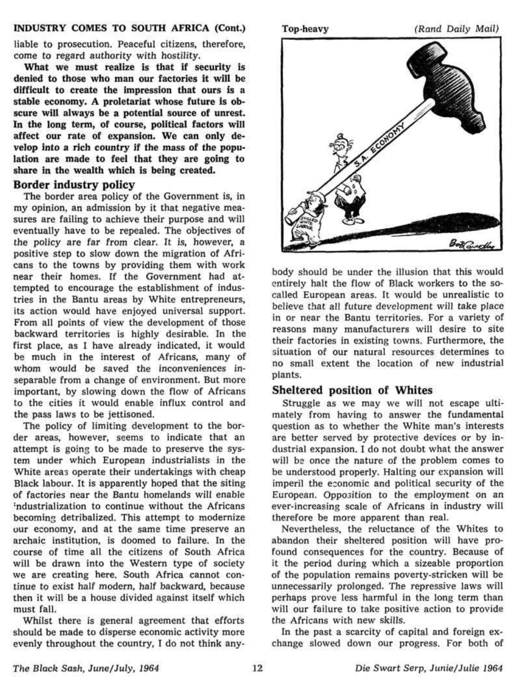#### **INDUSTRY COMES TO SOUTH AFRICA (Cont.)**

liable to prosecution. Peaceful citizens, therefore, come to regard authority with hostility.

**What we must realize is that if** security is **denied to** those **who** man our factories **it will be difficult to create the impression that ours is a stable economy. A proletariat whose future is obscure will always be a potential source of unrest. In the long term, of course, political factors will**  affect **our** rate of expansion. We can **only** develop **into a rich country** if **the** mass of **the population** are made **to feel that they are going to share in the wealth which is being created.** 

#### **Border industry policy**

The border area policy of the Government is, in my opinion, an admission by it that negative measures are failing to achieve their purpose and will eventually have to be repealed. The objectives of the policy are far from clear. It is, however, a positive step to slow down the migration of Africans to the towns by providing them with work near their homes. If the Government had attempted to encourage the establishment of industries in the Bantu areas by White entrepreneurs, its action would have enjoyed universal support. From all points of view the development of those backward territories is highly desirable. In the first place, as I have already indicated, it would mst plate, as I have alleady multated, it would we much in the merest of Afficans, many of whom would be saved the inconveniences inseparable from a change of environment. But more important, by slowing down the flow of Africans to the cities it would enable influx control and the pass laws to be jettisoned.

The policy of limiting development to the border areas, however, seems to indicate that an attempt is going to be made to preserve the system under which European industrialists in the White areas operate their undertakings with cheap Black labour. It is apparently hoped that the siting of factories near the Bantu homelands will enable : ndustrialization to continue without the Africans becoming detribalized. This attempt to modernize our economy, and at the same time preserve an archaic institution, is doomed to failure. In the course of time all the citizens of South Africa will be drawn into the Western type of society we are creating here. South Africa cannot continue to exist half modern, half backward, because there to exist han modern, han backward, because men it wil

Whilst there is general agreement that efforts should be made to disperse economic activity more evenly throughout the country, I do not think any-



body should be under the illusion that this would entirely halt the flow of Black workers to the socalled European areas. It would be unrealistic to believe that all future development will take place in or near the Bantu territories. For a variety of reasons many manufacturers will desire to site their factories in existing towns. Furthermore, the situation of our natural resources determines to no small extent the location of new industrial plants.

## **Sheltered position of Whites**

Struggle as we may we will not escape ultimately from having to answer the fundamental question as to whether the White man's interests are better served by protective devices or by industrial expansion. I do not doubt what the answer will be once the nature of the problem comes to be understood properly. Halting our expansion will imperil the economic and political security of the European. Opposition to the employment on an ever-increasing scale of Africans in industry will therefore be more apparent than real.

Nevertheless, the reluctance of the Whites to abandon their sheltered position will have profound consequences for the country. Because of it the period during which a sizeable proportion of the population remains poverty-stricken will be unnecessarily prolonged. The repressive laws will perhaps prove less harmful in the long term than will our failure to take positive action to provide the Africans with new skills.

In the past a scarcity of capital and foreign exchange slowed down our progress. For both of